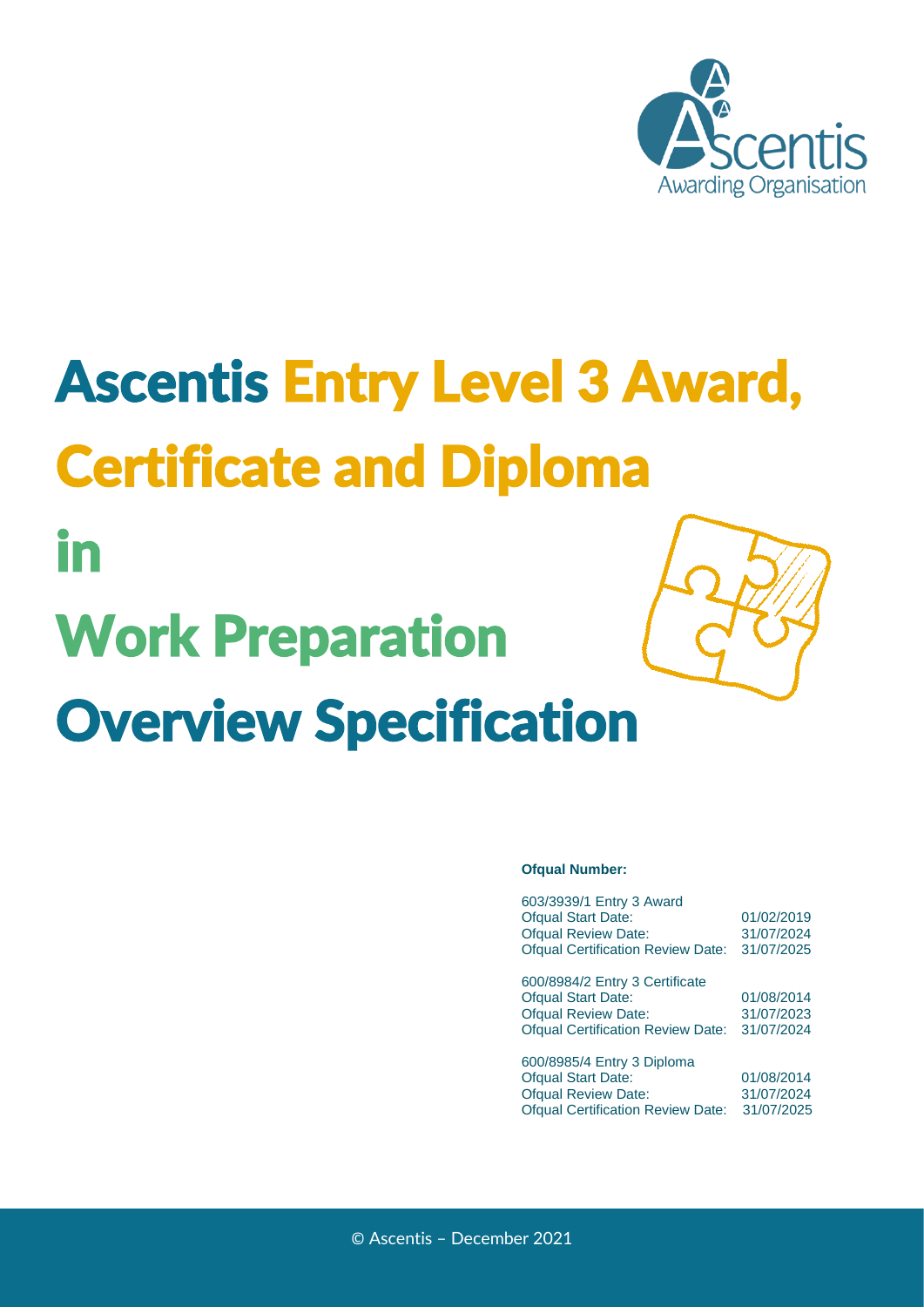

# Ascentis Entry Level 3 Award, Certificate and Diploma

# Work Preparation Overview Specification

in

#### **Ofqual Number:**

| 603/3939/1 Entry 3 Award                 |            |
|------------------------------------------|------------|
| <b>Ofqual Start Date:</b>                | 01/02/2019 |
| <b>Ofqual Review Date:</b>               | 31/07/2024 |
| <b>Ofqual Certification Review Date:</b> | 31/07/2025 |
|                                          |            |
| 600/8984/2 Entry 3 Certificate           |            |
| <b>Ofqual Start Date:</b>                | 01/08/2014 |
| <b>Ofqual Review Date:</b>               | 31/07/2023 |
| <b>Ofqual Certification Review Date:</b> | 31/07/2024 |
|                                          |            |
| 600/8985/4 Entry 3 Diploma               |            |
| <b>Ofqual Start Date:</b>                | 01/08/2014 |
| <b>Ofqual Review Date:</b>               | 31/07/2024 |
| <b>Ofqual Certification Review Date:</b> | 31/07/2025 |
|                                          |            |

© Ascentis – December 2021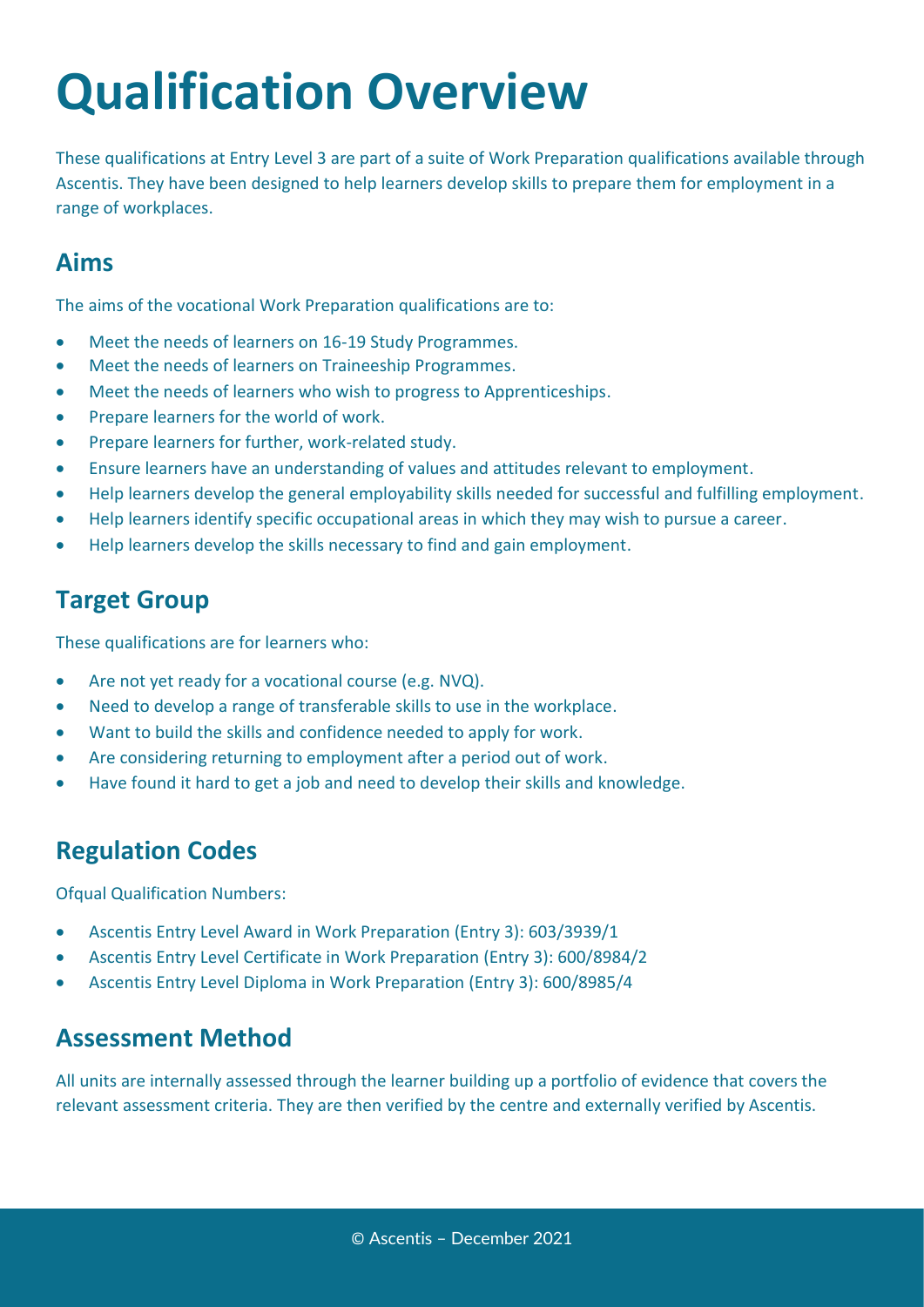# **Qualification Overview**

These qualifications at Entry Level 3 are part of a suite of Work Preparation qualifications available through Ascentis. They have been designed to help learners develop skills to prepare them for employment in a range of workplaces.

## **Aims**

The aims of the vocational Work Preparation qualifications are to:

- Meet the needs of learners on 16-19 Study Programmes.
- Meet the needs of learners on Traineeship Programmes.
- Meet the needs of learners who wish to progress to Apprenticeships.
- Prepare learners for the world of work.
- Prepare learners for further, work-related study.
- Ensure learners have an understanding of values and attitudes relevant to employment.
- Help learners develop the general employability skills needed for successful and fulfilling employment.
- Help learners identify specific occupational areas in which they may wish to pursue a career.
- Help learners develop the skills necessary to find and gain employment.

# **Target Group**

These qualifications are for learners who:

- Are not yet ready for a vocational course (e.g. NVQ).
- Need to develop a range of transferable skills to use in the workplace.
- Want to build the skills and confidence needed to apply for work.
- Are considering returning to employment after a period out of work.
- Have found it hard to get a job and need to develop their skills and knowledge.

### **Regulation Codes**

Ofqual Qualification Numbers:

- Ascentis Entry Level Award in Work Preparation (Entry 3): 603/3939/1
- Ascentis Entry Level Certificate in Work Preparation (Entry 3): 600/8984/2
- Ascentis Entry Level Diploma in Work Preparation (Entry 3): 600/8985/4

### **Assessment Method**

All units are internally assessed through the learner building up a portfolio of evidence that covers the relevant assessment criteria. They are then verified by the centre and externally verified by Ascentis.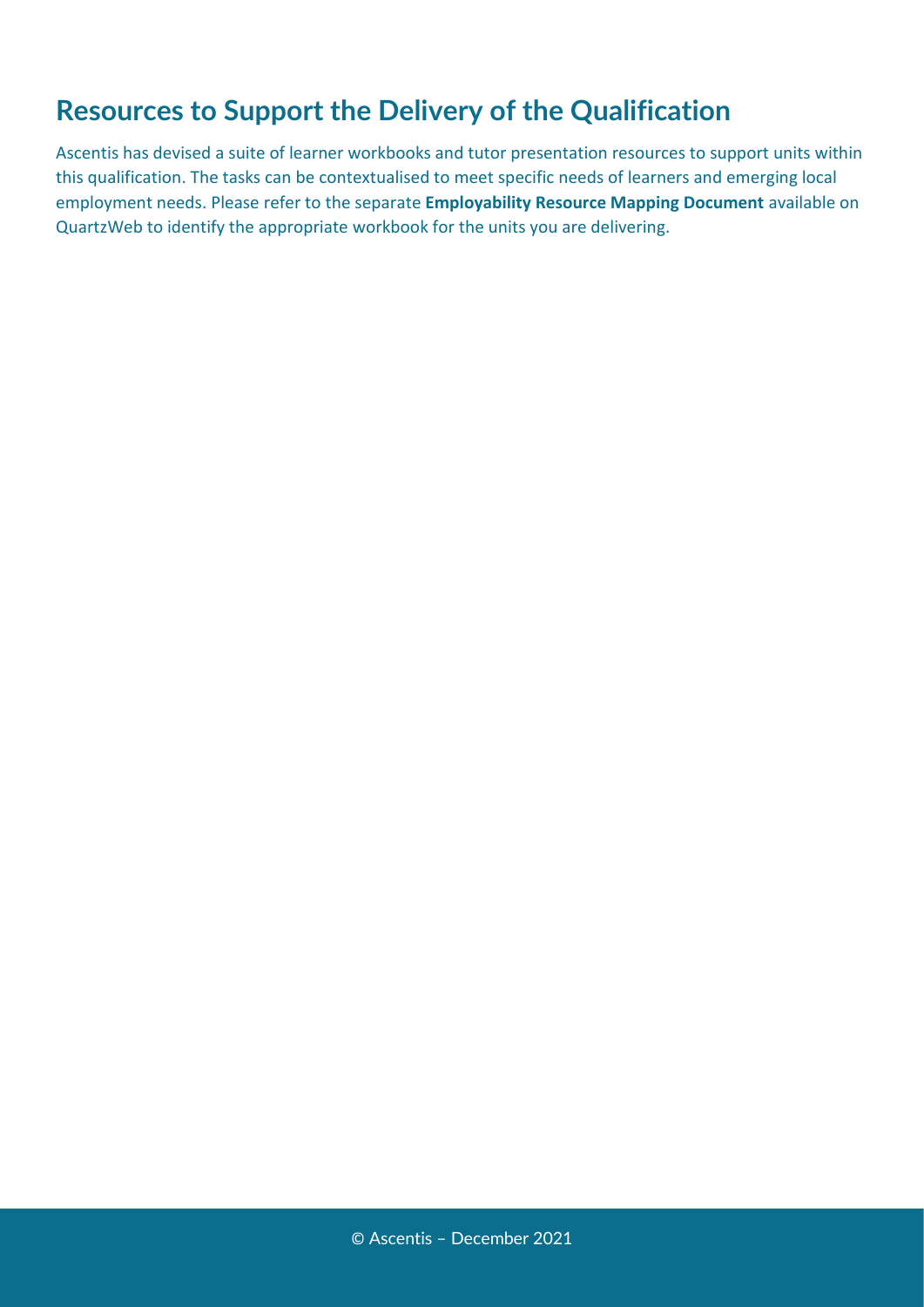# **Resources to Support the Delivery of the Qualification**

Ascentis has devised a suite of learner workbooks and tutor presentation resources to support units within this qualification. The tasks can be contextualised to meet specific needs of learners and emerging local employment needs. Please refer to the separate **Employability Resource Mapping Document** available on QuartzWeb to identify the appropriate workbook for the units you are delivering.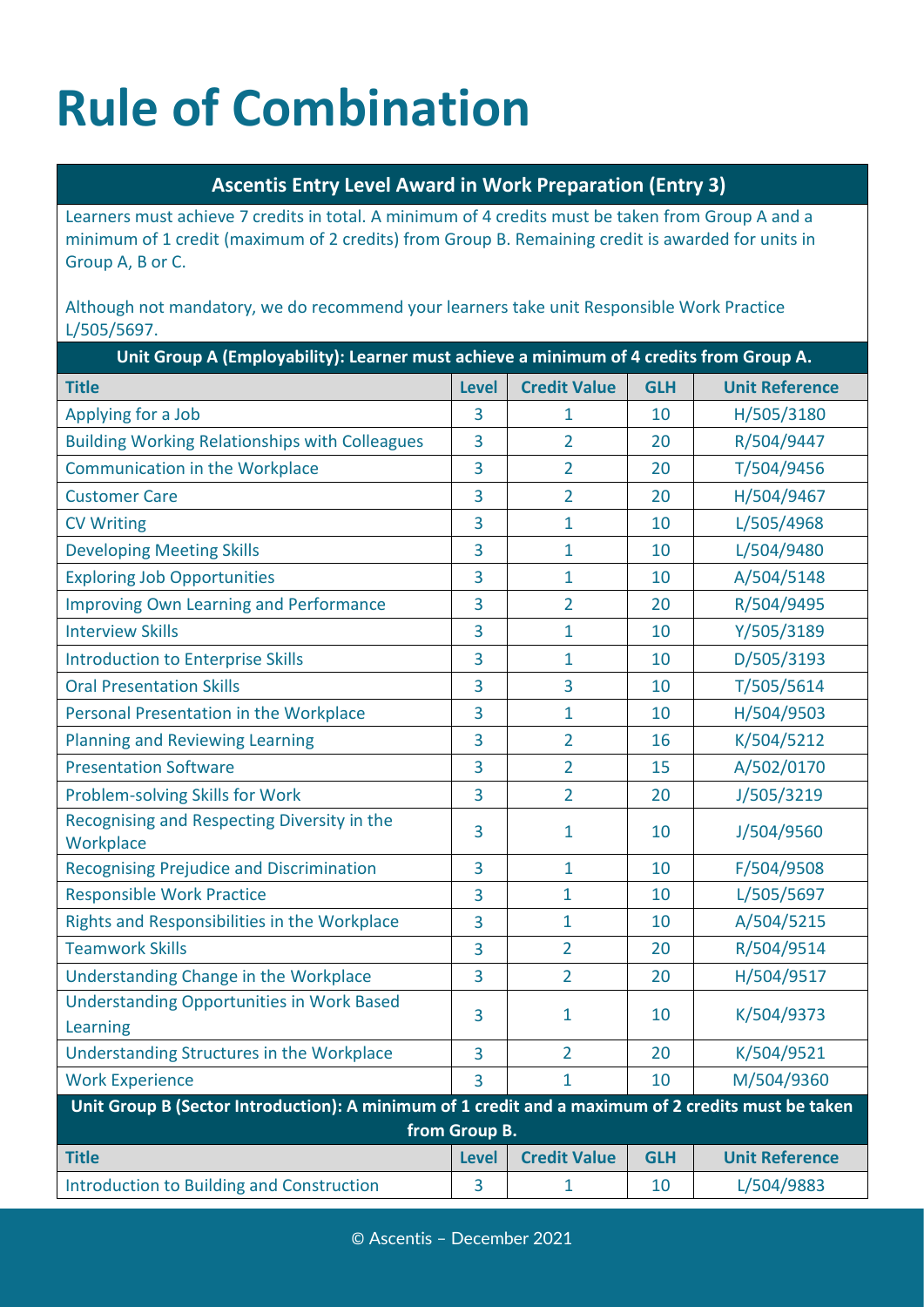# **Rule of Combination**

### **Ascentis Entry Level Award in Work Preparation (Entry 3)**

Learners must achieve 7 credits in total. A minimum of 4 credits must be taken from Group A and a minimum of 1 credit (maximum of 2 credits) from Group B. Remaining credit is awarded for units in Group A, B or C.

Although not mandatory, we do recommend your learners take unit Responsible Work Practice L/505/5697.

| Unit Group A (Employability): Learner must achieve a minimum of 4 credits from Group A.            |               |                     |            |                       |  |
|----------------------------------------------------------------------------------------------------|---------------|---------------------|------------|-----------------------|--|
| <b>Title</b>                                                                                       | <b>Level</b>  | <b>Credit Value</b> | <b>GLH</b> | <b>Unit Reference</b> |  |
| Applying for a Job                                                                                 | 3             | 1                   | 10         | H/505/3180            |  |
| <b>Building Working Relationships with Colleagues</b>                                              | 3             | $\overline{2}$      | 20         | R/504/9447            |  |
| <b>Communication in the Workplace</b>                                                              | 3             | $\overline{2}$      | 20         | T/504/9456            |  |
| <b>Customer Care</b>                                                                               | 3             | $\overline{2}$      | 20         | H/504/9467            |  |
| <b>CV Writing</b>                                                                                  | 3             | $\mathbf{1}$        | 10         | L/505/4968            |  |
| <b>Developing Meeting Skills</b>                                                                   | 3             | 1                   | 10         | L/504/9480            |  |
| <b>Exploring Job Opportunities</b>                                                                 | 3             | 1                   | 10         | A/504/5148            |  |
| <b>Improving Own Learning and Performance</b>                                                      | 3             | $\overline{2}$      | 20         | R/504/9495            |  |
| <b>Interview Skills</b>                                                                            | 3             | 1                   | 10         | Y/505/3189            |  |
| <b>Introduction to Enterprise Skills</b>                                                           | 3             | 1                   | 10         | D/505/3193            |  |
| <b>Oral Presentation Skills</b>                                                                    | 3             | 3                   | 10         | T/505/5614            |  |
| Personal Presentation in the Workplace                                                             | 3             | 1                   | 10         | H/504/9503            |  |
| <b>Planning and Reviewing Learning</b>                                                             | 3             | $\overline{2}$      | 16         | K/504/5212            |  |
| <b>Presentation Software</b>                                                                       | 3             | $\overline{2}$      | 15         | A/502/0170            |  |
| Problem-solving Skills for Work                                                                    | 3             | $\overline{2}$      | 20         | J/505/3219            |  |
| Recognising and Respecting Diversity in the<br>Workplace                                           | 3             | $\mathbf{1}$        | 10         | J/504/9560            |  |
| <b>Recognising Prejudice and Discrimination</b>                                                    | 3             | $\mathbf{1}$        | 10         | F/504/9508            |  |
| <b>Responsible Work Practice</b>                                                                   | 3             | 1                   | 10         | L/505/5697            |  |
| Rights and Responsibilities in the Workplace                                                       | 3             | 1                   | 10         | A/504/5215            |  |
| <b>Teamwork Skills</b>                                                                             | 3             | 2                   | 20         | R/504/9514            |  |
| Understanding Change in the Workplace                                                              | 3             | $\overline{2}$      | 20         | H/504/9517            |  |
| <b>Understanding Opportunities in Work Based</b><br>Learning                                       | 3             | 1                   | 10         | K/504/9373            |  |
| Understanding Structures in the Workplace                                                          | 3             | $\overline{2}$      | 20         | K/504/9521            |  |
| <b>Work Experience</b>                                                                             | 3             | 1                   | 10         | M/504/9360            |  |
| Unit Group B (Sector Introduction): A minimum of 1 credit and a maximum of 2 credits must be taken | from Group B. |                     |            |                       |  |
| <b>Title</b>                                                                                       | <b>Level</b>  | <b>Credit Value</b> | <b>GLH</b> | <b>Unit Reference</b> |  |
| <b>Introduction to Building and Construction</b>                                                   | 3             | 1                   | 10         | L/504/9883            |  |
|                                                                                                    |               |                     |            |                       |  |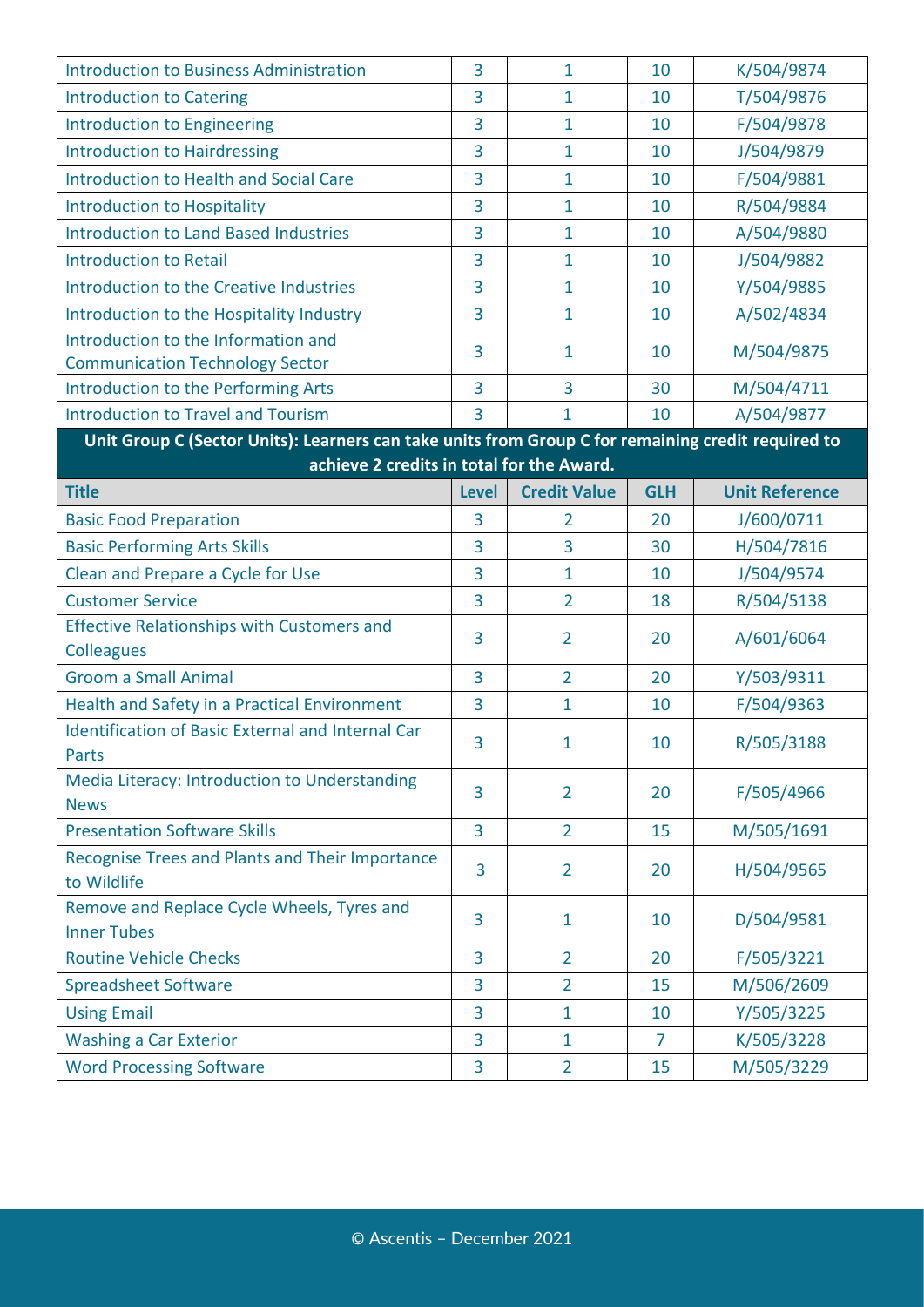| <b>Introduction to Business Administration</b>                                                     | 3              | $\mathbf{1}$        | 10             | K/504/9874            |
|----------------------------------------------------------------------------------------------------|----------------|---------------------|----------------|-----------------------|
| <b>Introduction to Catering</b>                                                                    | 3              | $\mathbf{1}$        | 10             | T/504/9876            |
| <b>Introduction to Engineering</b>                                                                 | 3              | 1                   | 10             | F/504/9878            |
| <b>Introduction to Hairdressing</b>                                                                | 3              | $\mathbf{1}$        | 10             | J/504/9879            |
| <b>Introduction to Health and Social Care</b>                                                      | 3              | $\overline{1}$      | 10             | F/504/9881            |
| <b>Introduction to Hospitality</b>                                                                 | 3              | $\mathbf{1}$        | 10             | R/504/9884            |
| <b>Introduction to Land Based Industries</b>                                                       | 3              | $\mathbf{1}$        | 10             | A/504/9880            |
| <b>Introduction to Retail</b>                                                                      | 3              | $\mathbf{1}$        | 10             | J/504/9882            |
| <b>Introduction to the Creative Industries</b>                                                     | 3              | $\mathbf 1$         | 10             | Y/504/9885            |
| Introduction to the Hospitality Industry                                                           | 3              | $\mathbf{1}$        | 10             | A/502/4834            |
| Introduction to the Information and                                                                | 3              | 1                   | 10             | M/504/9875            |
| <b>Communication Technology Sector</b>                                                             |                |                     |                |                       |
| <b>Introduction to the Performing Arts</b>                                                         | 3              | 3                   | 30             | M/504/4711            |
| <b>Introduction to Travel and Tourism</b>                                                          | 3              | 1                   | 10             | A/504/9877            |
| Unit Group C (Sector Units): Learners can take units from Group C for remaining credit required to |                |                     |                |                       |
| achieve 2 credits in total for the Award.                                                          |                |                     |                |                       |
| <b>Title</b>                                                                                       | <b>Level</b>   | <b>Credit Value</b> | <b>GLH</b>     | <b>Unit Reference</b> |
| <b>Basic Food Preparation</b>                                                                      | 3              | $\overline{2}$      | 20             | J/600/0711            |
| <b>Basic Performing Arts Skills</b>                                                                | 3              | 3                   | 30             | H/504/7816            |
| Clean and Prepare a Cycle for Use                                                                  | 3              | $\mathbf{1}$        | 10             | J/504/9574            |
| <b>Customer Service</b>                                                                            | 3              | $\overline{2}$      | 18             | R/504/5138            |
| <b>Effective Relationships with Customers and</b>                                                  | 3              | $\overline{2}$      | 20             | A/601/6064            |
| <b>Colleagues</b>                                                                                  |                |                     |                |                       |
| <b>Groom a Small Animal</b>                                                                        | $\overline{3}$ | $\overline{2}$      | 20             | Y/503/9311            |
| Health and Safety in a Practical Environment                                                       | 3              | $\mathbf{1}$        | 10             | F/504/9363            |
| <b>Identification of Basic External and Internal Car</b><br>Parts                                  | 3              | $\mathbf{1}$        | 10             | R/505/3188            |
| Media Literacy: Introduction to Understanding                                                      |                |                     |                |                       |
| <b>News</b>                                                                                        | 3              | $\overline{2}$      | 20             | F/505/4966            |
| <b>Presentation Software Skills</b>                                                                | 3              | $\overline{2}$      | 15             | M/505/1691            |
| Recognise Trees and Plants and Their Importance                                                    |                |                     |                |                       |
| to Wildlife                                                                                        | 3              | $\overline{2}$      | 20             | H/504/9565            |
| Remove and Replace Cycle Wheels, Tyres and                                                         | 3              | $\mathbf{1}$        | 10             | D/504/9581            |
| <b>Inner Tubes</b>                                                                                 |                |                     |                |                       |
| <b>Routine Vehicle Checks</b>                                                                      | 3              | $\overline{2}$      | 20             | F/505/3221            |
| <b>Spreadsheet Software</b>                                                                        | 3              | $\overline{2}$      | 15             | M/506/2609            |
| <b>Using Email</b>                                                                                 | 3              | $\mathbf{1}$        | 10             | Y/505/3225            |
| <b>Washing a Car Exterior</b>                                                                      | 3              | $\mathbf{1}$        | $\overline{7}$ | K/505/3228            |
|                                                                                                    |                |                     |                |                       |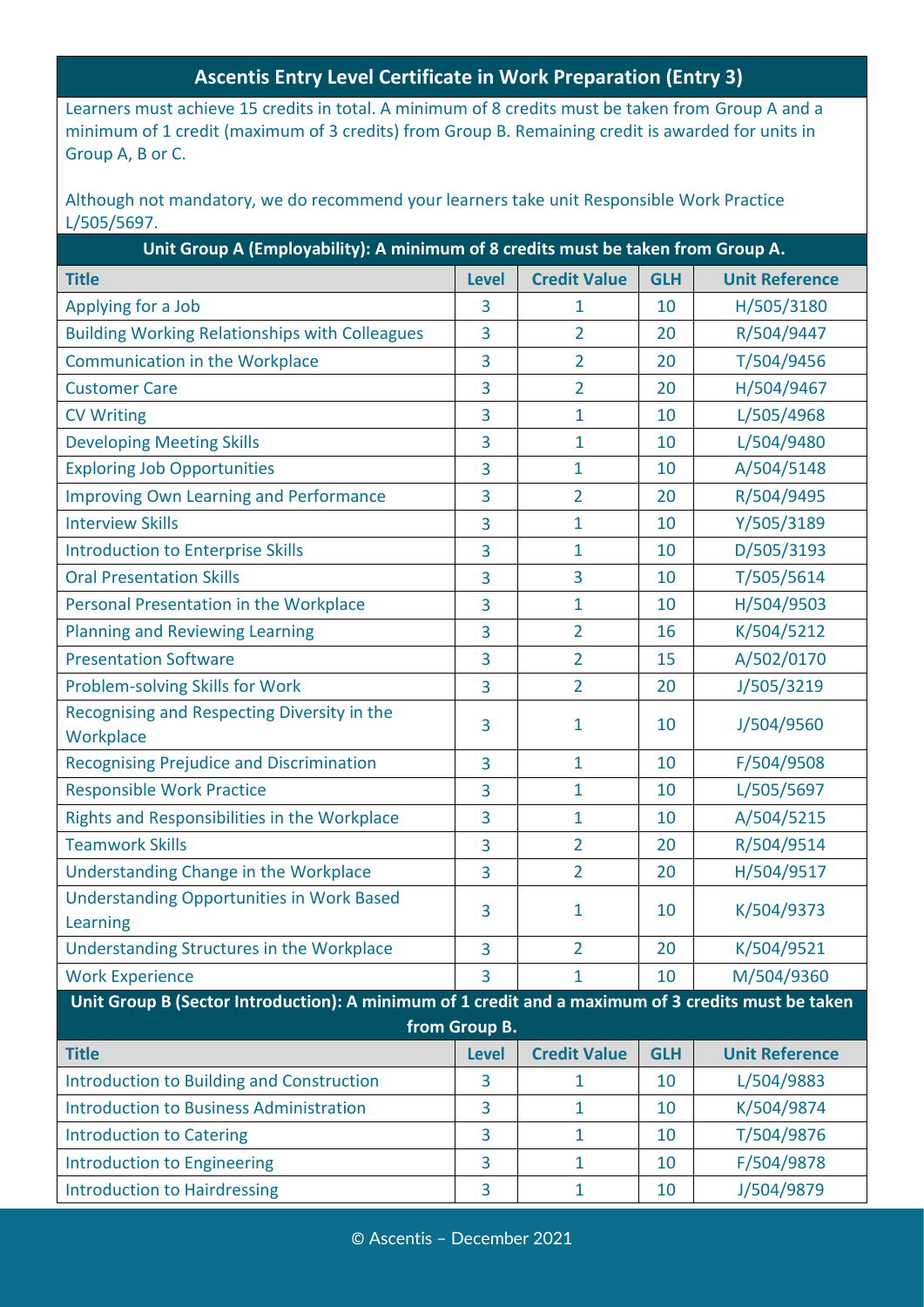#### **Ascentis Entry Level Certificate in Work Preparation (Entry 3)**

Learners must achieve 15 credits in total. A minimum of 8 credits must be taken from Group A and a minimum of 1 credit (maximum of 3 credits) from Group B. Remaining credit is awarded for units in Group A, B or C.

Although not mandatory, we do recommend your learners take unit Responsible Work Practice L/505/5697.

| <b>Credit Value</b><br><b>Unit Reference</b><br><b>Title</b><br><b>Level</b><br><b>GLH</b><br>Applying for a Job<br>H/505/3180<br>3<br>$\mathbf{1}$<br>10<br><b>Building Working Relationships with Colleagues</b><br>3<br>$\overline{2}$<br>R/504/9447<br>20<br><b>Communication in the Workplace</b><br>3<br>$\overline{2}$<br>T/504/9456<br>20<br><b>Customer Care</b><br>3<br>$\overline{2}$<br>H/504/9467<br>20<br>3<br>$\mathbf{1}$<br>L/505/4968<br><b>CV Writing</b><br>10<br>3<br>L/504/9480<br><b>Developing Meeting Skills</b><br>$\mathbf{1}$<br>10<br><b>Exploring Job Opportunities</b><br>3<br>1<br>A/504/5148<br>10<br>3<br>$\overline{2}$<br><b>Improving Own Learning and Performance</b><br>20<br>R/504/9495<br><b>Interview Skills</b><br>Y/505/3189<br>3<br>1<br>10<br><b>Introduction to Enterprise Skills</b><br>D/505/3193<br>3<br>1<br>10<br>3<br>T/505/5614<br><b>Oral Presentation Skills</b><br>10<br>3<br>H/504/9503<br>Personal Presentation in the Workplace<br>1<br>10<br>3<br>$\overline{2}$<br><b>Planning and Reviewing Learning</b><br>K/504/5212<br>16<br>3<br><b>Presentation Software</b><br>$\overline{2}$<br>A/502/0170<br>3<br>15<br>Problem-solving Skills for Work<br>$\overline{2}$<br>J/505/3219<br>3<br>20<br>Recognising and Respecting Diversity in the<br>J/504/9560<br>1<br>3<br>10<br>Workplace<br>F/504/9508<br><b>Recognising Prejudice and Discrimination</b><br>3<br>$\mathbf{1}$<br>10<br><b>Responsible Work Practice</b><br>L/505/5697<br>$\mathbf{1}$<br>3<br>10<br>Rights and Responsibilities in the Workplace<br>3<br>1<br>A/504/5215<br>10<br><b>Teamwork Skills</b><br>R/504/9514<br>$\overline{2}$<br>3<br>20<br>Understanding Change in the Workplace<br>H/504/9517<br>$\overline{2}$<br>3<br>20<br><b>Understanding Opportunities in Work Based</b><br>K/504/9373<br>3<br>1<br>10<br>Learning<br>Understanding Structures in the Workplace<br>K/504/9521<br>3<br>$\overline{2}$<br>20<br><b>Work Experience</b><br>M/504/9360<br>3<br>1<br>10<br>Unit Group B (Sector Introduction): A minimum of 1 credit and a maximum of 3 credits must be taken<br>from Group B.<br><b>Title</b><br><b>Credit Value</b><br><b>Unit Reference</b><br><b>Level</b><br><b>GLH</b><br><b>Introduction to Building and Construction</b><br>L/504/9883<br>3<br>10<br>1<br><b>Introduction to Business Administration</b><br>K/504/9874<br>3<br>$\mathbf{1}$<br>10<br>3<br>T/504/9876<br><b>Introduction to Catering</b><br>$\mathbf{1}$<br>10<br>3<br><b>Introduction to Engineering</b><br>F/504/9878<br>$\mathbf{1}$<br>10 | Unit Group A (Employability): A minimum of 8 credits must be taken from Group A. |   |   |    |            |  |
|--------------------------------------------------------------------------------------------------------------------------------------------------------------------------------------------------------------------------------------------------------------------------------------------------------------------------------------------------------------------------------------------------------------------------------------------------------------------------------------------------------------------------------------------------------------------------------------------------------------------------------------------------------------------------------------------------------------------------------------------------------------------------------------------------------------------------------------------------------------------------------------------------------------------------------------------------------------------------------------------------------------------------------------------------------------------------------------------------------------------------------------------------------------------------------------------------------------------------------------------------------------------------------------------------------------------------------------------------------------------------------------------------------------------------------------------------------------------------------------------------------------------------------------------------------------------------------------------------------------------------------------------------------------------------------------------------------------------------------------------------------------------------------------------------------------------------------------------------------------------------------------------------------------------------------------------------------------------------------------------------------------------------------------------------------------------------------------------------------------------------------------------------------------------------------------------------------------------------------------------------------------------------------------------------------------------------------------------------------------------------------------------------------------------------------------------------------------------------------------------------------------------------------------------------------------------------------|----------------------------------------------------------------------------------|---|---|----|------------|--|
|                                                                                                                                                                                                                                                                                                                                                                                                                                                                                                                                                                                                                                                                                                                                                                                                                                                                                                                                                                                                                                                                                                                                                                                                                                                                                                                                                                                                                                                                                                                                                                                                                                                                                                                                                                                                                                                                                                                                                                                                                                                                                                                                                                                                                                                                                                                                                                                                                                                                                                                                                                                |                                                                                  |   |   |    |            |  |
|                                                                                                                                                                                                                                                                                                                                                                                                                                                                                                                                                                                                                                                                                                                                                                                                                                                                                                                                                                                                                                                                                                                                                                                                                                                                                                                                                                                                                                                                                                                                                                                                                                                                                                                                                                                                                                                                                                                                                                                                                                                                                                                                                                                                                                                                                                                                                                                                                                                                                                                                                                                |                                                                                  |   |   |    |            |  |
|                                                                                                                                                                                                                                                                                                                                                                                                                                                                                                                                                                                                                                                                                                                                                                                                                                                                                                                                                                                                                                                                                                                                                                                                                                                                                                                                                                                                                                                                                                                                                                                                                                                                                                                                                                                                                                                                                                                                                                                                                                                                                                                                                                                                                                                                                                                                                                                                                                                                                                                                                                                |                                                                                  |   |   |    |            |  |
|                                                                                                                                                                                                                                                                                                                                                                                                                                                                                                                                                                                                                                                                                                                                                                                                                                                                                                                                                                                                                                                                                                                                                                                                                                                                                                                                                                                                                                                                                                                                                                                                                                                                                                                                                                                                                                                                                                                                                                                                                                                                                                                                                                                                                                                                                                                                                                                                                                                                                                                                                                                |                                                                                  |   |   |    |            |  |
|                                                                                                                                                                                                                                                                                                                                                                                                                                                                                                                                                                                                                                                                                                                                                                                                                                                                                                                                                                                                                                                                                                                                                                                                                                                                                                                                                                                                                                                                                                                                                                                                                                                                                                                                                                                                                                                                                                                                                                                                                                                                                                                                                                                                                                                                                                                                                                                                                                                                                                                                                                                |                                                                                  |   |   |    |            |  |
|                                                                                                                                                                                                                                                                                                                                                                                                                                                                                                                                                                                                                                                                                                                                                                                                                                                                                                                                                                                                                                                                                                                                                                                                                                                                                                                                                                                                                                                                                                                                                                                                                                                                                                                                                                                                                                                                                                                                                                                                                                                                                                                                                                                                                                                                                                                                                                                                                                                                                                                                                                                |                                                                                  |   |   |    |            |  |
|                                                                                                                                                                                                                                                                                                                                                                                                                                                                                                                                                                                                                                                                                                                                                                                                                                                                                                                                                                                                                                                                                                                                                                                                                                                                                                                                                                                                                                                                                                                                                                                                                                                                                                                                                                                                                                                                                                                                                                                                                                                                                                                                                                                                                                                                                                                                                                                                                                                                                                                                                                                |                                                                                  |   |   |    |            |  |
|                                                                                                                                                                                                                                                                                                                                                                                                                                                                                                                                                                                                                                                                                                                                                                                                                                                                                                                                                                                                                                                                                                                                                                                                                                                                                                                                                                                                                                                                                                                                                                                                                                                                                                                                                                                                                                                                                                                                                                                                                                                                                                                                                                                                                                                                                                                                                                                                                                                                                                                                                                                |                                                                                  |   |   |    |            |  |
|                                                                                                                                                                                                                                                                                                                                                                                                                                                                                                                                                                                                                                                                                                                                                                                                                                                                                                                                                                                                                                                                                                                                                                                                                                                                                                                                                                                                                                                                                                                                                                                                                                                                                                                                                                                                                                                                                                                                                                                                                                                                                                                                                                                                                                                                                                                                                                                                                                                                                                                                                                                |                                                                                  |   |   |    |            |  |
|                                                                                                                                                                                                                                                                                                                                                                                                                                                                                                                                                                                                                                                                                                                                                                                                                                                                                                                                                                                                                                                                                                                                                                                                                                                                                                                                                                                                                                                                                                                                                                                                                                                                                                                                                                                                                                                                                                                                                                                                                                                                                                                                                                                                                                                                                                                                                                                                                                                                                                                                                                                |                                                                                  |   |   |    |            |  |
|                                                                                                                                                                                                                                                                                                                                                                                                                                                                                                                                                                                                                                                                                                                                                                                                                                                                                                                                                                                                                                                                                                                                                                                                                                                                                                                                                                                                                                                                                                                                                                                                                                                                                                                                                                                                                                                                                                                                                                                                                                                                                                                                                                                                                                                                                                                                                                                                                                                                                                                                                                                |                                                                                  |   |   |    |            |  |
|                                                                                                                                                                                                                                                                                                                                                                                                                                                                                                                                                                                                                                                                                                                                                                                                                                                                                                                                                                                                                                                                                                                                                                                                                                                                                                                                                                                                                                                                                                                                                                                                                                                                                                                                                                                                                                                                                                                                                                                                                                                                                                                                                                                                                                                                                                                                                                                                                                                                                                                                                                                |                                                                                  |   |   |    |            |  |
|                                                                                                                                                                                                                                                                                                                                                                                                                                                                                                                                                                                                                                                                                                                                                                                                                                                                                                                                                                                                                                                                                                                                                                                                                                                                                                                                                                                                                                                                                                                                                                                                                                                                                                                                                                                                                                                                                                                                                                                                                                                                                                                                                                                                                                                                                                                                                                                                                                                                                                                                                                                |                                                                                  |   |   |    |            |  |
|                                                                                                                                                                                                                                                                                                                                                                                                                                                                                                                                                                                                                                                                                                                                                                                                                                                                                                                                                                                                                                                                                                                                                                                                                                                                                                                                                                                                                                                                                                                                                                                                                                                                                                                                                                                                                                                                                                                                                                                                                                                                                                                                                                                                                                                                                                                                                                                                                                                                                                                                                                                |                                                                                  |   |   |    |            |  |
|                                                                                                                                                                                                                                                                                                                                                                                                                                                                                                                                                                                                                                                                                                                                                                                                                                                                                                                                                                                                                                                                                                                                                                                                                                                                                                                                                                                                                                                                                                                                                                                                                                                                                                                                                                                                                                                                                                                                                                                                                                                                                                                                                                                                                                                                                                                                                                                                                                                                                                                                                                                |                                                                                  |   |   |    |            |  |
|                                                                                                                                                                                                                                                                                                                                                                                                                                                                                                                                                                                                                                                                                                                                                                                                                                                                                                                                                                                                                                                                                                                                                                                                                                                                                                                                                                                                                                                                                                                                                                                                                                                                                                                                                                                                                                                                                                                                                                                                                                                                                                                                                                                                                                                                                                                                                                                                                                                                                                                                                                                |                                                                                  |   |   |    |            |  |
|                                                                                                                                                                                                                                                                                                                                                                                                                                                                                                                                                                                                                                                                                                                                                                                                                                                                                                                                                                                                                                                                                                                                                                                                                                                                                                                                                                                                                                                                                                                                                                                                                                                                                                                                                                                                                                                                                                                                                                                                                                                                                                                                                                                                                                                                                                                                                                                                                                                                                                                                                                                |                                                                                  |   |   |    |            |  |
|                                                                                                                                                                                                                                                                                                                                                                                                                                                                                                                                                                                                                                                                                                                                                                                                                                                                                                                                                                                                                                                                                                                                                                                                                                                                                                                                                                                                                                                                                                                                                                                                                                                                                                                                                                                                                                                                                                                                                                                                                                                                                                                                                                                                                                                                                                                                                                                                                                                                                                                                                                                |                                                                                  |   |   |    |            |  |
|                                                                                                                                                                                                                                                                                                                                                                                                                                                                                                                                                                                                                                                                                                                                                                                                                                                                                                                                                                                                                                                                                                                                                                                                                                                                                                                                                                                                                                                                                                                                                                                                                                                                                                                                                                                                                                                                                                                                                                                                                                                                                                                                                                                                                                                                                                                                                                                                                                                                                                                                                                                |                                                                                  |   |   |    |            |  |
|                                                                                                                                                                                                                                                                                                                                                                                                                                                                                                                                                                                                                                                                                                                                                                                                                                                                                                                                                                                                                                                                                                                                                                                                                                                                                                                                                                                                                                                                                                                                                                                                                                                                                                                                                                                                                                                                                                                                                                                                                                                                                                                                                                                                                                                                                                                                                                                                                                                                                                                                                                                |                                                                                  |   |   |    |            |  |
|                                                                                                                                                                                                                                                                                                                                                                                                                                                                                                                                                                                                                                                                                                                                                                                                                                                                                                                                                                                                                                                                                                                                                                                                                                                                                                                                                                                                                                                                                                                                                                                                                                                                                                                                                                                                                                                                                                                                                                                                                                                                                                                                                                                                                                                                                                                                                                                                                                                                                                                                                                                |                                                                                  |   |   |    |            |  |
|                                                                                                                                                                                                                                                                                                                                                                                                                                                                                                                                                                                                                                                                                                                                                                                                                                                                                                                                                                                                                                                                                                                                                                                                                                                                                                                                                                                                                                                                                                                                                                                                                                                                                                                                                                                                                                                                                                                                                                                                                                                                                                                                                                                                                                                                                                                                                                                                                                                                                                                                                                                |                                                                                  |   |   |    |            |  |
|                                                                                                                                                                                                                                                                                                                                                                                                                                                                                                                                                                                                                                                                                                                                                                                                                                                                                                                                                                                                                                                                                                                                                                                                                                                                                                                                                                                                                                                                                                                                                                                                                                                                                                                                                                                                                                                                                                                                                                                                                                                                                                                                                                                                                                                                                                                                                                                                                                                                                                                                                                                |                                                                                  |   |   |    |            |  |
|                                                                                                                                                                                                                                                                                                                                                                                                                                                                                                                                                                                                                                                                                                                                                                                                                                                                                                                                                                                                                                                                                                                                                                                                                                                                                                                                                                                                                                                                                                                                                                                                                                                                                                                                                                                                                                                                                                                                                                                                                                                                                                                                                                                                                                                                                                                                                                                                                                                                                                                                                                                |                                                                                  |   |   |    |            |  |
|                                                                                                                                                                                                                                                                                                                                                                                                                                                                                                                                                                                                                                                                                                                                                                                                                                                                                                                                                                                                                                                                                                                                                                                                                                                                                                                                                                                                                                                                                                                                                                                                                                                                                                                                                                                                                                                                                                                                                                                                                                                                                                                                                                                                                                                                                                                                                                                                                                                                                                                                                                                |                                                                                  |   |   |    |            |  |
|                                                                                                                                                                                                                                                                                                                                                                                                                                                                                                                                                                                                                                                                                                                                                                                                                                                                                                                                                                                                                                                                                                                                                                                                                                                                                                                                                                                                                                                                                                                                                                                                                                                                                                                                                                                                                                                                                                                                                                                                                                                                                                                                                                                                                                                                                                                                                                                                                                                                                                                                                                                |                                                                                  |   |   |    |            |  |
|                                                                                                                                                                                                                                                                                                                                                                                                                                                                                                                                                                                                                                                                                                                                                                                                                                                                                                                                                                                                                                                                                                                                                                                                                                                                                                                                                                                                                                                                                                                                                                                                                                                                                                                                                                                                                                                                                                                                                                                                                                                                                                                                                                                                                                                                                                                                                                                                                                                                                                                                                                                |                                                                                  |   |   |    |            |  |
|                                                                                                                                                                                                                                                                                                                                                                                                                                                                                                                                                                                                                                                                                                                                                                                                                                                                                                                                                                                                                                                                                                                                                                                                                                                                                                                                                                                                                                                                                                                                                                                                                                                                                                                                                                                                                                                                                                                                                                                                                                                                                                                                                                                                                                                                                                                                                                                                                                                                                                                                                                                |                                                                                  |   |   |    |            |  |
|                                                                                                                                                                                                                                                                                                                                                                                                                                                                                                                                                                                                                                                                                                                                                                                                                                                                                                                                                                                                                                                                                                                                                                                                                                                                                                                                                                                                                                                                                                                                                                                                                                                                                                                                                                                                                                                                                                                                                                                                                                                                                                                                                                                                                                                                                                                                                                                                                                                                                                                                                                                |                                                                                  |   |   |    |            |  |
|                                                                                                                                                                                                                                                                                                                                                                                                                                                                                                                                                                                                                                                                                                                                                                                                                                                                                                                                                                                                                                                                                                                                                                                                                                                                                                                                                                                                                                                                                                                                                                                                                                                                                                                                                                                                                                                                                                                                                                                                                                                                                                                                                                                                                                                                                                                                                                                                                                                                                                                                                                                |                                                                                  |   |   |    |            |  |
|                                                                                                                                                                                                                                                                                                                                                                                                                                                                                                                                                                                                                                                                                                                                                                                                                                                                                                                                                                                                                                                                                                                                                                                                                                                                                                                                                                                                                                                                                                                                                                                                                                                                                                                                                                                                                                                                                                                                                                                                                                                                                                                                                                                                                                                                                                                                                                                                                                                                                                                                                                                |                                                                                  |   |   |    |            |  |
|                                                                                                                                                                                                                                                                                                                                                                                                                                                                                                                                                                                                                                                                                                                                                                                                                                                                                                                                                                                                                                                                                                                                                                                                                                                                                                                                                                                                                                                                                                                                                                                                                                                                                                                                                                                                                                                                                                                                                                                                                                                                                                                                                                                                                                                                                                                                                                                                                                                                                                                                                                                |                                                                                  |   |   |    |            |  |
|                                                                                                                                                                                                                                                                                                                                                                                                                                                                                                                                                                                                                                                                                                                                                                                                                                                                                                                                                                                                                                                                                                                                                                                                                                                                                                                                                                                                                                                                                                                                                                                                                                                                                                                                                                                                                                                                                                                                                                                                                                                                                                                                                                                                                                                                                                                                                                                                                                                                                                                                                                                |                                                                                  |   |   |    |            |  |
|                                                                                                                                                                                                                                                                                                                                                                                                                                                                                                                                                                                                                                                                                                                                                                                                                                                                                                                                                                                                                                                                                                                                                                                                                                                                                                                                                                                                                                                                                                                                                                                                                                                                                                                                                                                                                                                                                                                                                                                                                                                                                                                                                                                                                                                                                                                                                                                                                                                                                                                                                                                | <b>Introduction to Hairdressing</b>                                              | 3 | 1 | 10 | J/504/9879 |  |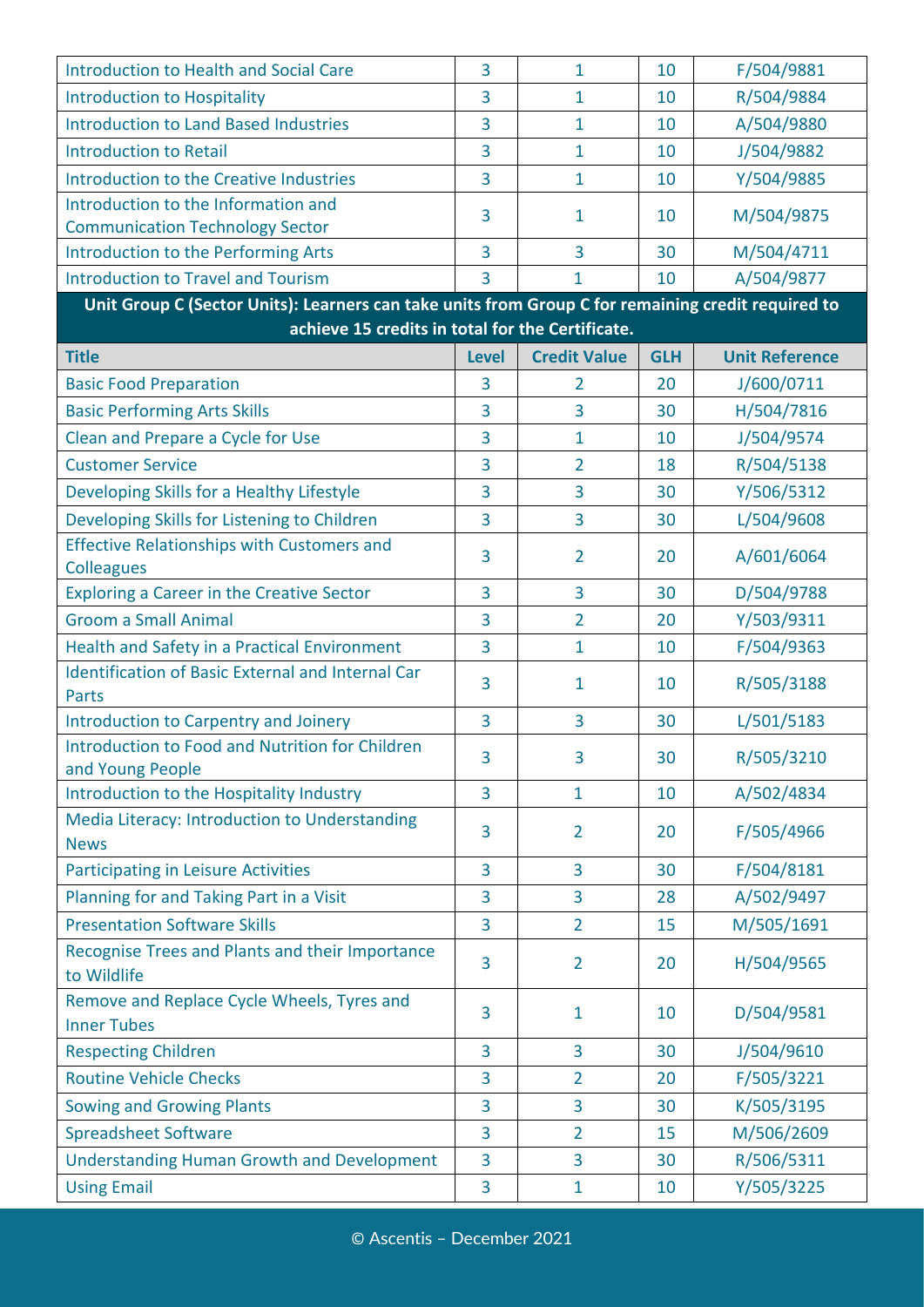| Introduction to Health and Social Care                                                             | 3              | $\mathbf{1}$        | 10         | F/504/9881               |
|----------------------------------------------------------------------------------------------------|----------------|---------------------|------------|--------------------------|
| <b>Introduction to Hospitality</b>                                                                 | 3              | $\mathbf{1}$        | 10         | R/504/9884               |
| <b>Introduction to Land Based Industries</b>                                                       | 3              | 1                   | 10         | A/504/9880               |
| <b>Introduction to Retail</b>                                                                      | 3              | $\mathbf{1}$        | 10         | J/504/9882               |
| <b>Introduction to the Creative Industries</b>                                                     | 3              | $\mathbf{1}$        | 10         | Y/504/9885               |
| Introduction to the Information and<br><b>Communication Technology Sector</b>                      | 3              | 1                   | 10         | M/504/9875               |
| Introduction to the Performing Arts                                                                | 3              | $\overline{3}$      | 30         | M/504/4711               |
| <b>Introduction to Travel and Tourism</b>                                                          | 3              | 1                   | 10         | A/504/9877               |
| Unit Group C (Sector Units): Learners can take units from Group C for remaining credit required to |                |                     |            |                          |
| achieve 15 credits in total for the Certificate.<br><b>Title</b>                                   | <b>Level</b>   | <b>Credit Value</b> | <b>GLH</b> | <b>Unit Reference</b>    |
| <b>Basic Food Preparation</b>                                                                      | 3              | $\overline{2}$      | 20         | J/600/0711               |
| <b>Basic Performing Arts Skills</b>                                                                | $\overline{3}$ | $\overline{3}$      | 30         | H/504/7816               |
|                                                                                                    | 3              | $\mathbf{1}$        | 10         |                          |
| Clean and Prepare a Cycle for Use<br><b>Customer Service</b>                                       | 3              | $\overline{2}$      | 18         | J/504/9574               |
|                                                                                                    | 3              | 3                   | 30         | R/504/5138<br>Y/506/5312 |
| Developing Skills for a Healthy Lifestyle                                                          | 3              | $\overline{3}$      |            |                          |
| Developing Skills for Listening to Children<br><b>Effective Relationships with Customers and</b>   |                |                     | 30         | L/504/9608               |
| <b>Colleagues</b>                                                                                  | 3              | $\overline{2}$      | 20         | A/601/6064               |
| <b>Exploring a Career in the Creative Sector</b>                                                   | 3              | $\overline{3}$      | 30         | D/504/9788               |
| <b>Groom a Small Animal</b>                                                                        | 3              | $\overline{2}$      | 20         | Y/503/9311               |
| Health and Safety in a Practical Environment                                                       | 3              | $\mathbf{1}$        | 10         | F/504/9363               |
| <b>Identification of Basic External and Internal Car</b><br><b>Parts</b>                           | 3              | 1                   | 10         | R/505/3188               |
| Introduction to Carpentry and Joinery                                                              | 3              | 3                   | 30         | L/501/5183               |
| Introduction to Food and Nutrition for Children<br>and Young People                                | 3              | 3                   | 30         | R/505/3210               |
| Introduction to the Hospitality Industry                                                           | 3              | $\mathbf{1}$        | 10         | A/502/4834               |
| Media Literacy: Introduction to Understanding<br><b>News</b>                                       | 3              | $\overline{2}$      | 20         | F/505/4966               |
| <b>Participating in Leisure Activities</b>                                                         | 3              | 3                   | 30         | F/504/8181               |
| Planning for and Taking Part in a Visit                                                            | 3              | 3                   | 28         | A/502/9497               |
| <b>Presentation Software Skills</b>                                                                | 3              | $\overline{2}$      | 15         | M/505/1691               |
| Recognise Trees and Plants and their Importance<br>to Wildlife                                     | 3              | $\overline{2}$      | 20         | H/504/9565               |
| Remove and Replace Cycle Wheels, Tyres and<br><b>Inner Tubes</b>                                   | 3              | $\mathbf{1}$        | 10         | D/504/9581               |
| <b>Respecting Children</b>                                                                         | 3              | $\overline{3}$      | 30         | J/504/9610               |
| <b>Routine Vehicle Checks</b>                                                                      | 3              | $\overline{2}$      | 20         | F/505/3221               |
| <b>Sowing and Growing Plants</b>                                                                   | 3              | 3                   | 30         | K/505/3195               |
| <b>Spreadsheet Software</b>                                                                        | 3              | $\overline{2}$      | 15         | M/506/2609               |
| <b>Understanding Human Growth and Development</b>                                                  | 3              | $\overline{3}$      | 30         | R/506/5311               |
| <b>Using Email</b>                                                                                 | 3              | $\mathbf{1}$        | 10         | Y/505/3225               |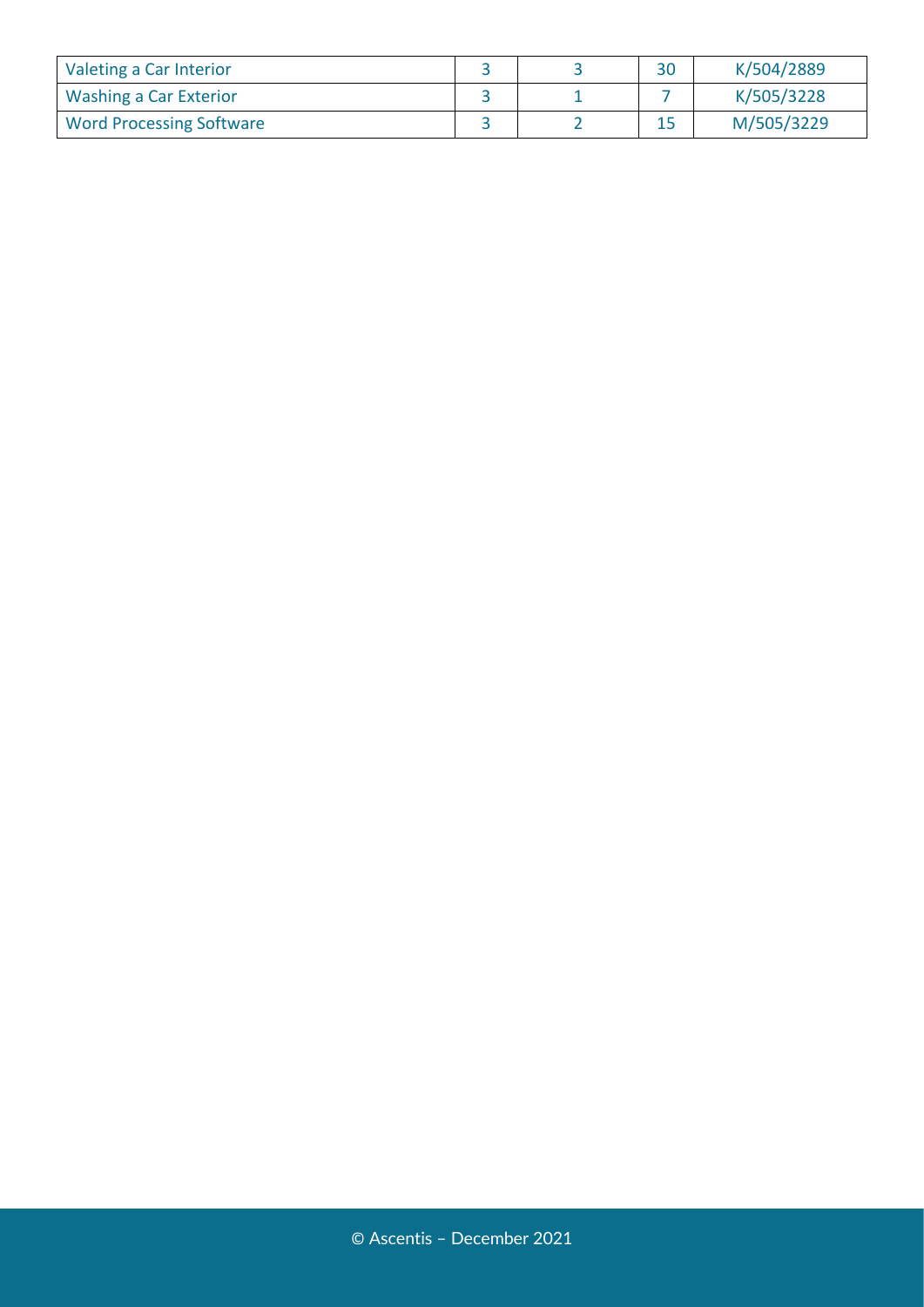| Valeting a Car Interior         |  | 30 | K/504/2889 |
|---------------------------------|--|----|------------|
| Washing a Car Exterior          |  |    | K/505/3228 |
| <b>Word Processing Software</b> |  |    | M/505/3229 |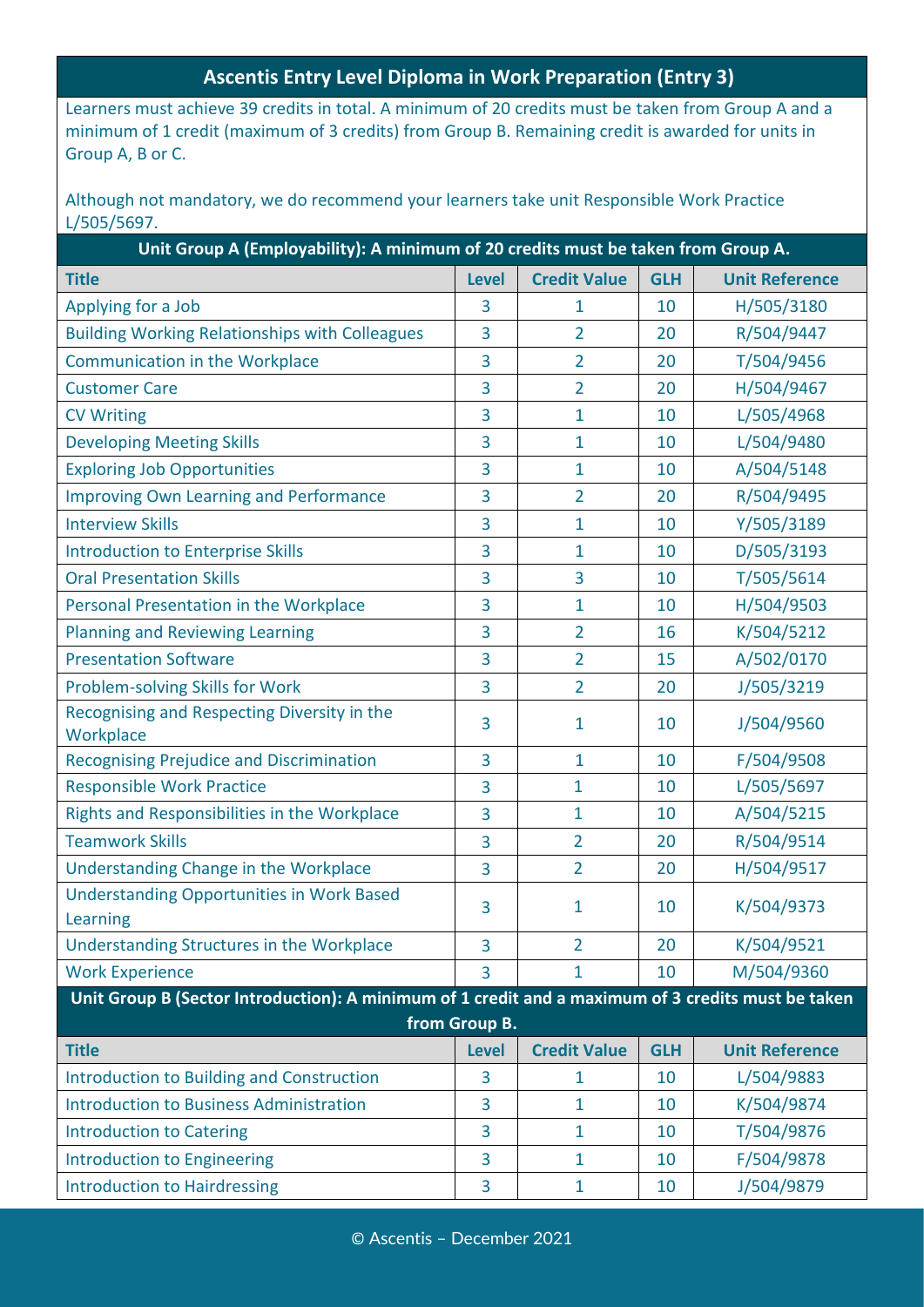#### **Ascentis Entry Level Diploma in Work Preparation (Entry 3)**

Learners must achieve 39 credits in total. A minimum of 20 credits must be taken from Group A and a minimum of 1 credit (maximum of 3 credits) from Group B. Remaining credit is awarded for units in Group A, B or C.

Although not mandatory, we do recommend your learners take unit Responsible Work Practice L/505/5697.

| Unit Group A (Employability): A minimum of 20 credits must be taken from Group A.                  |               |                     |            |                       |  |
|----------------------------------------------------------------------------------------------------|---------------|---------------------|------------|-----------------------|--|
| <b>Title</b>                                                                                       | <b>Level</b>  | <b>Credit Value</b> | <b>GLH</b> | <b>Unit Reference</b> |  |
| Applying for a Job                                                                                 | 3             | $\mathbf{1}$        | 10         | H/505/3180            |  |
| <b>Building Working Relationships with Colleagues</b>                                              | 3             | $\overline{2}$      | 20         | R/504/9447            |  |
| <b>Communication in the Workplace</b>                                                              | 3             | $\overline{2}$      | 20         | T/504/9456            |  |
| <b>Customer Care</b>                                                                               | 3             | $\overline{2}$      | 20         | H/504/9467            |  |
| <b>CV Writing</b>                                                                                  | 3             | 1                   | 10         | L/505/4968            |  |
| <b>Developing Meeting Skills</b>                                                                   | 3             | $\mathbf{1}$        | 10         | L/504/9480            |  |
| <b>Exploring Job Opportunities</b>                                                                 | 3             | $\mathbf{1}$        | 10         | A/504/5148            |  |
| <b>Improving Own Learning and Performance</b>                                                      | 3             | $\overline{2}$      | 20         | R/504/9495            |  |
| <b>Interview Skills</b>                                                                            | 3             | 1                   | 10         | Y/505/3189            |  |
| <b>Introduction to Enterprise Skills</b>                                                           | 3             | $\mathbf{1}$        | 10         | D/505/3193            |  |
| <b>Oral Presentation Skills</b>                                                                    | 3             | 3                   | 10         | T/505/5614            |  |
| Personal Presentation in the Workplace                                                             | 3             | $\mathbf{1}$        | 10         | H/504/9503            |  |
| <b>Planning and Reviewing Learning</b>                                                             | 3             | $\overline{2}$      | 16         | K/504/5212            |  |
| <b>Presentation Software</b>                                                                       | 3             | $\overline{2}$      | 15         | A/502/0170            |  |
| Problem-solving Skills for Work                                                                    | 3             | $\overline{2}$      | 20         | J/505/3219            |  |
| Recognising and Respecting Diversity in the<br>Workplace                                           | 3             | 1                   | 10         | J/504/9560            |  |
| <b>Recognising Prejudice and Discrimination</b>                                                    | 3             | $\mathbf{1}$        | 10         | F/504/9508            |  |
| <b>Responsible Work Practice</b>                                                                   | 3             | $\mathbf{1}$        | 10         | L/505/5697            |  |
| Rights and Responsibilities in the Workplace                                                       | 3             | 1                   | 10         | A/504/5215            |  |
| <b>Teamwork Skills</b>                                                                             | 3             | $\overline{2}$      | 20         | R/504/9514            |  |
| Understanding Change in the Workplace                                                              | 3             | $\overline{2}$      | 20         | H/504/9517            |  |
| <b>Understanding Opportunities in Work Based</b><br>Learning                                       | 3             | 1                   | 10         | K/504/9373            |  |
| Understanding Structures in the Workplace                                                          | 3             | $\overline{2}$      | 20         | K/504/9521            |  |
| <b>Work Experience</b>                                                                             | 3             | 1                   | 10         | M/504/9360            |  |
| Unit Group B (Sector Introduction): A minimum of 1 credit and a maximum of 3 credits must be taken |               |                     |            |                       |  |
|                                                                                                    | from Group B. |                     |            |                       |  |
| <b>Title</b>                                                                                       | <b>Level</b>  | <b>Credit Value</b> | <b>GLH</b> | <b>Unit Reference</b> |  |
| <b>Introduction to Building and Construction</b>                                                   | 3             | 1                   | 10         | L/504/9883            |  |
| <b>Introduction to Business Administration</b>                                                     | 3             | $\mathbf{1}$        | 10         | K/504/9874            |  |
| <b>Introduction to Catering</b>                                                                    | 3             | $\mathbf{1}$        | 10         | T/504/9876            |  |
| <b>Introduction to Engineering</b>                                                                 | 3             | $\mathbf{1}$        | 10         | F/504/9878            |  |
| <b>Introduction to Hairdressing</b>                                                                | 3             | $\mathbf{1}$        | 10         | J/504/9879            |  |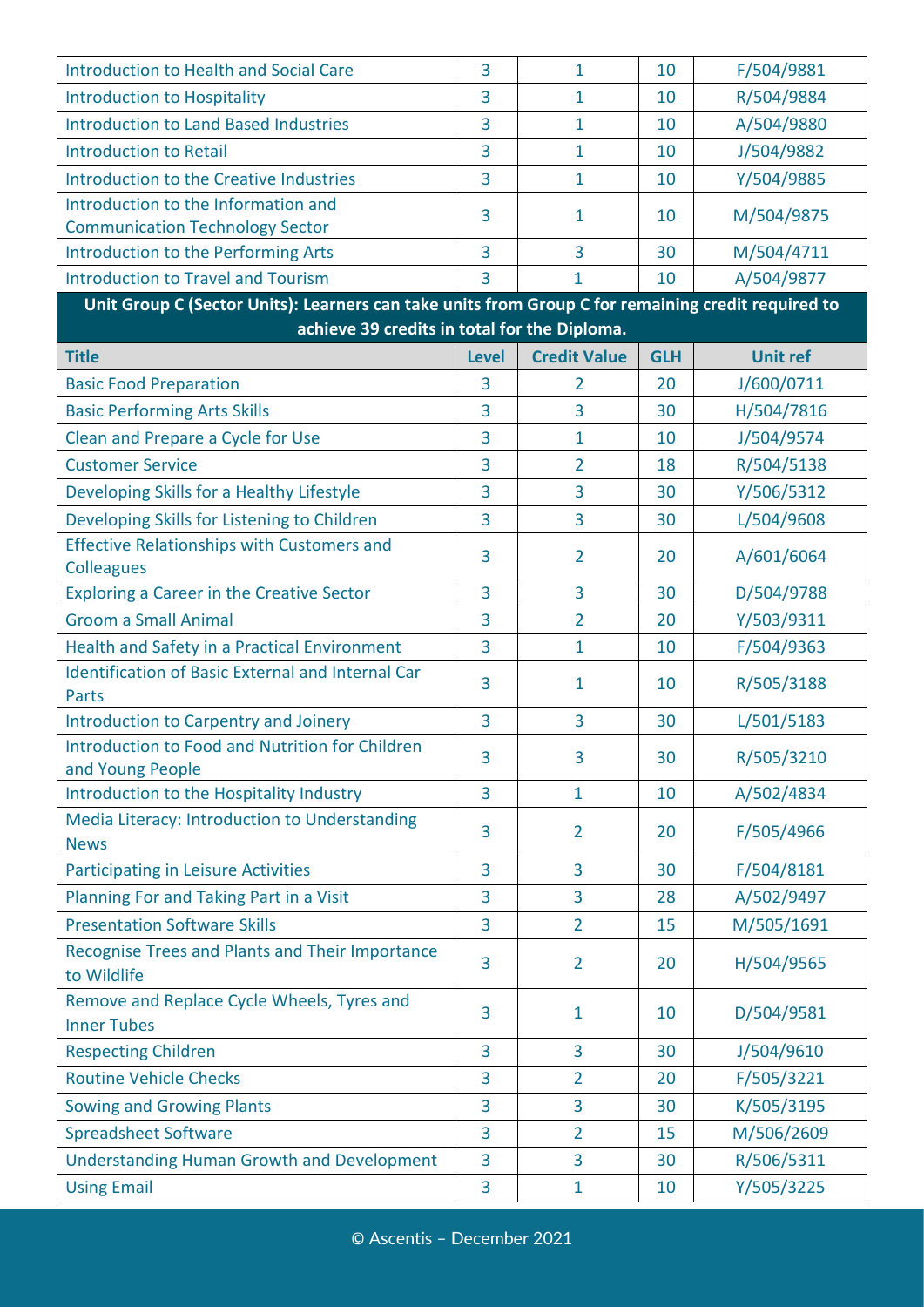| Introduction to Health and Social Care                                                             | 3              | $\mathbf{1}$        | 10         | F/504/9881      |
|----------------------------------------------------------------------------------------------------|----------------|---------------------|------------|-----------------|
| <b>Introduction to Hospitality</b>                                                                 | 3              | $\mathbf{1}$        | 10         | R/504/9884      |
| <b>Introduction to Land Based Industries</b>                                                       | 3              | 1                   | 10         | A/504/9880      |
| <b>Introduction to Retail</b>                                                                      | 3              | $\mathbf{1}$        | 10         | J/504/9882      |
| <b>Introduction to the Creative Industries</b>                                                     | 3              | $\mathbf{1}$        | 10         | Y/504/9885      |
| Introduction to the Information and<br><b>Communication Technology Sector</b>                      | 3              | 1                   | 10         | M/504/9875      |
| Introduction to the Performing Arts                                                                | 3              | $\overline{3}$      | 30         | M/504/4711      |
| <b>Introduction to Travel and Tourism</b>                                                          | 3              | 1                   | 10         | A/504/9877      |
| Unit Group C (Sector Units): Learners can take units from Group C for remaining credit required to |                |                     |            |                 |
| achieve 39 credits in total for the Diploma.                                                       |                |                     |            |                 |
| <b>Title</b>                                                                                       | <b>Level</b>   | <b>Credit Value</b> | <b>GLH</b> | <b>Unit ref</b> |
| <b>Basic Food Preparation</b>                                                                      | 3              | $\overline{2}$      | 20         | J/600/0711      |
| <b>Basic Performing Arts Skills</b>                                                                | $\overline{3}$ | $\overline{3}$      | 30         | H/504/7816      |
| Clean and Prepare a Cycle for Use                                                                  | 3              | $\mathbf{1}$        | 10         | J/504/9574      |
| <b>Customer Service</b>                                                                            | 3              | $\overline{2}$      | 18         | R/504/5138      |
| Developing Skills for a Healthy Lifestyle                                                          | 3              | 3                   | 30         | Y/506/5312      |
| Developing Skills for Listening to Children                                                        | 3              | $\overline{3}$      | 30         | L/504/9608      |
| <b>Effective Relationships with Customers and</b><br><b>Colleagues</b>                             | 3              | $\overline{2}$      | 20         | A/601/6064      |
| <b>Exploring a Career in the Creative Sector</b>                                                   | 3              | $\overline{3}$      | 30         | D/504/9788      |
| <b>Groom a Small Animal</b>                                                                        | 3              | $\overline{2}$      | 20         | Y/503/9311      |
| Health and Safety in a Practical Environment                                                       | 3              | $\mathbf{1}$        | 10         | F/504/9363      |
| <b>Identification of Basic External and Internal Car</b><br><b>Parts</b>                           | 3              | 1                   | 10         | R/505/3188      |
| Introduction to Carpentry and Joinery                                                              | 3              | 3                   | 30         | L/501/5183      |
| Introduction to Food and Nutrition for Children<br>and Young People                                | 3              | 3                   | 30         | R/505/3210      |
| Introduction to the Hospitality Industry                                                           | 3              | $\mathbf{1}$        | 10         | A/502/4834      |
| Media Literacy: Introduction to Understanding<br><b>News</b>                                       | 3              | $\overline{2}$      | 20         | F/505/4966      |
| <b>Participating in Leisure Activities</b>                                                         | 3              | 3                   | 30         | F/504/8181      |
| Planning For and Taking Part in a Visit                                                            | 3              | 3                   | 28         | A/502/9497      |
| <b>Presentation Software Skills</b>                                                                | 3              | $\overline{2}$      | 15         | M/505/1691      |
| Recognise Trees and Plants and Their Importance<br>to Wildlife                                     | 3              | $\overline{2}$      | 20         | H/504/9565      |
| Remove and Replace Cycle Wheels, Tyres and<br><b>Inner Tubes</b>                                   | 3              | $\mathbf{1}$        | 10         | D/504/9581      |
| <b>Respecting Children</b>                                                                         | 3              | $\overline{3}$      | 30         | J/504/9610      |
| <b>Routine Vehicle Checks</b>                                                                      | 3              | $\overline{2}$      | 20         | F/505/3221      |
| <b>Sowing and Growing Plants</b>                                                                   | 3              | 3                   | 30         | K/505/3195      |
| <b>Spreadsheet Software</b>                                                                        | 3              | $\overline{2}$      | 15         | M/506/2609      |
| <b>Understanding Human Growth and Development</b>                                                  | 3              | $\overline{3}$      | 30         | R/506/5311      |
| <b>Using Email</b>                                                                                 | 3              | $\mathbf{1}$        | 10         | Y/505/3225      |